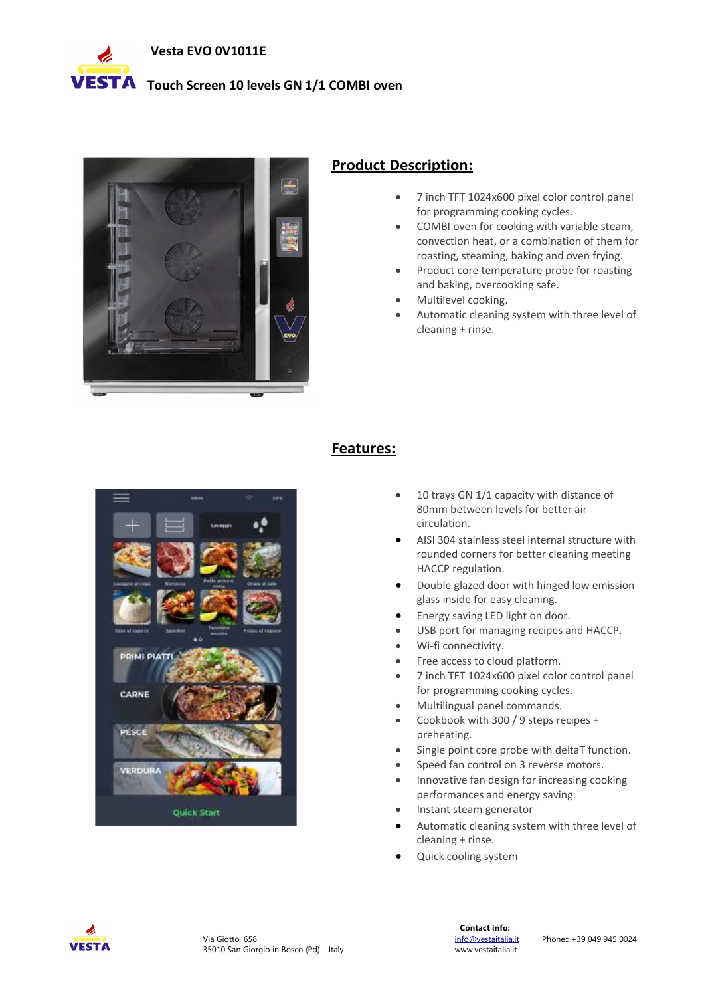

## **VESTA** Touch Screen 10 levels GN 1/1 COMBI oven



## **Product Description:**

- 7 inch TFT 1024x600 pixel color control panel for programming cooking cycles.
- COMBI oven for cooking with variable steam, convection heat, or a combination of them for roasting, steaming, baking and oven frying.
- Product core temperature probe for roasting and baking, overcooking safe.
- Multilevel cooking.
- Automatic cleaning system with three level of cleaning + rinse.



## **Features:**

- 10 trays GN 1/1 capacity with distance of 80mm between levels for better air circulation.
- AISI 304 stainless steel internal structure with rounded corners for better cleaning meeting HACCP regulation.
- Double glazed door with hinged low emission glass inside for easy cleaning.
- Energy saving LED light on door.
- USB port for managing recipes and HACCP.
- Wi-fi connectivity.
- Free access to cloud platform.
- 7 inch TFT 1024x600 pixel color control panel for programming cooking cycles.
- Multilingual panel commands.
- Cookbook with 300 / 9 steps recipes + preheating.
- Single point core probe with deltaT function.
- Speed fan control on 3 reverse motors.
- Innovative fan design for increasing cooking performances and energy saving.
- Instant steam generator
- Automatic cleaning system with three level of cleaning + rinse.
- Quick cooling system

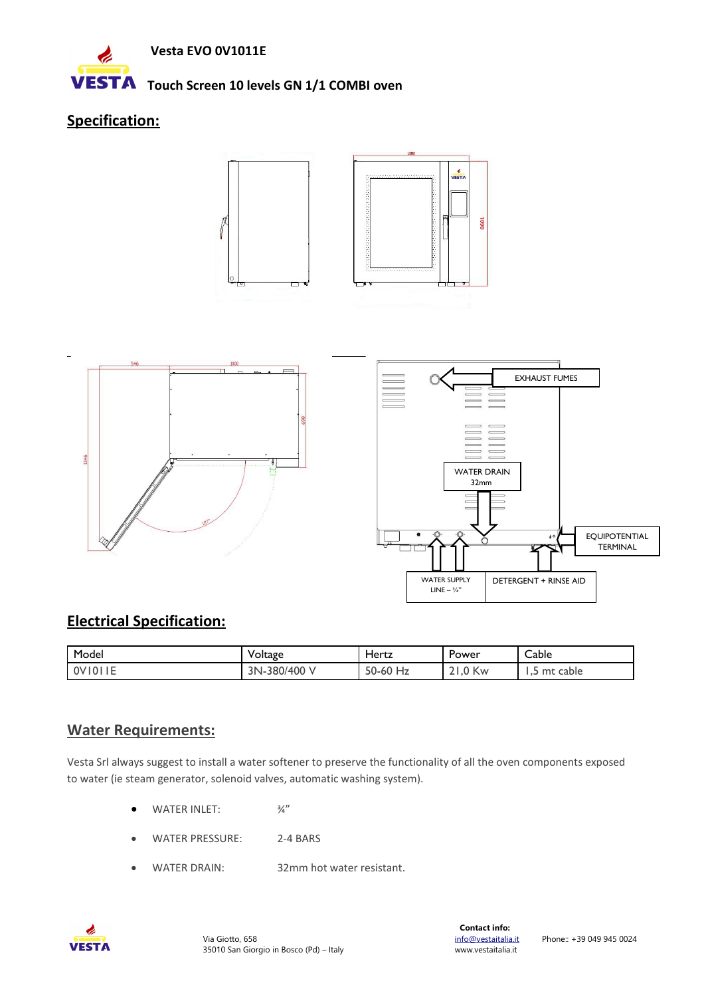

## **VESTA** Touch Screen 10 levels GN 1/1 COMBI oven

# **Specification:**





# **Electrical Specification:**

| Model             | Voltage            | Hertz            | -<br>Power       | Cable              |
|-------------------|--------------------|------------------|------------------|--------------------|
| $\cdots$<br> OV O | -380/400 V<br>3N-. | 50-60<br>.<br>Hz | $\gamma$ Kw<br>∽ | cable<br>mt<br>ر . |

## **Water Requirements:**

Vesta Srl always suggest to install a water softener to preserve the functionality of all the oven components exposed to water (ie steam generator, solenoid valves, automatic washing system).

- $\bullet$  WATER INLET:  $\frac{3}{4}$ "
- WATER PRESSURE: 2-4 BARS
- WATER DRAIN: 32mm hot water resistant.